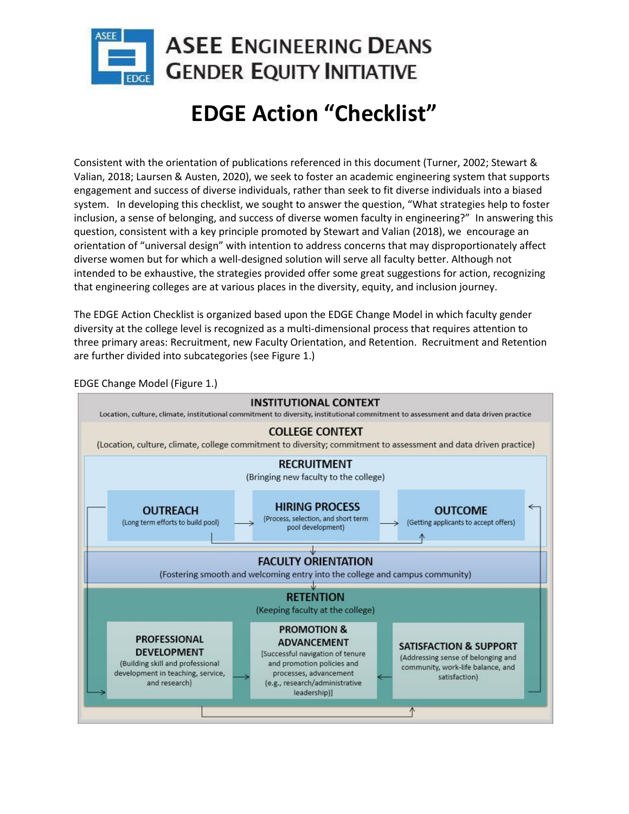

# **EDGE Action "Checklist"**

Consistent with the orientation of publications referenced in this document (Turner, 2002; Stewart & Valian, 2018; Laursen & Austen, 2020), we seek to foster an academic engineering system that supports engagement and success of diverse individuals, rather than seek to fit diverse individuals into a biased system. In developing this checklist, we sought to answer the question, "What strategies help to foster inclusion, a sense of belonging, and success of diverse women faculty in engineering?" In answering this question, consistent with a key principle promoted by Stewart and Valian (2018), we encourage an orientation of "universal design" with intention to address concerns that may disproportionately affect diverse women but for which a well-designed solution will serve all faculty better. Although not intended to be exhaustive, the strategies provided offer some great suggestions for action, recognizing that engineering colleges are at various places in the diversity, equity, and inclusion journey.

The EDGE Action Checklist is organized based upon the EDGE Change Model in which faculty gender diversity at the college level is recognized as a multi-dimensional process that requires attention to three primary areas: Recruitment, new Faculty Orientation, and Retention. Recruitment and Retention are further divided into subcategories (see Figure 1.)



EDGE Change Model (Figure 1.)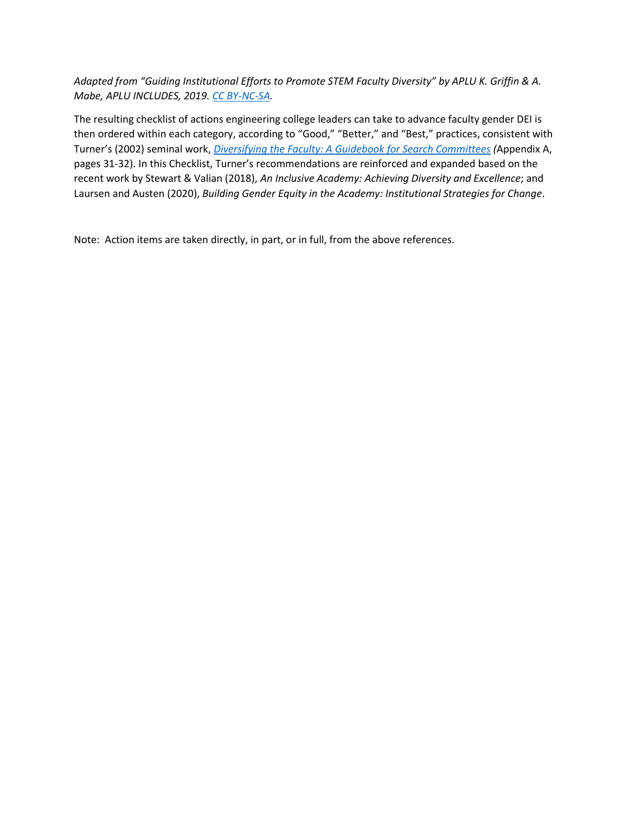*Adapted from "Guiding Institutional Efforts to Promote STEM Faculty Diversity" by APLU K. Griffin & A. Mabe, APLU INCLUDES, 2019[. CC BY-NC-SA.](https://creativecommons.org/licenses/by-nc-sa/4.0/legalcode)*

The resulting checklist of actions engineering college leaders can take to advance faculty gender DEI is then ordered within each category, according to "Good," "Better," and "Best," practices, consistent with Turner's (2002) seminal work, *[Diversifying the Faculty: A Guidebook for Search Committees](https://files.eric.ed.gov/fulltext/ED465359.pdf) (*Appendix A, pages 31-32). In this Checklist, Turner's recommendations are reinforced and expanded based on the recent work by Stewart & Valian (2018), *An Inclusive Academy: Achieving Diversity and Excellence*; and Laursen and Austen (2020), *Building Gender Equity in the Academy: Institutional Strategies for Change*.

Note: Action items are taken directly, in part, or in full, from the above references.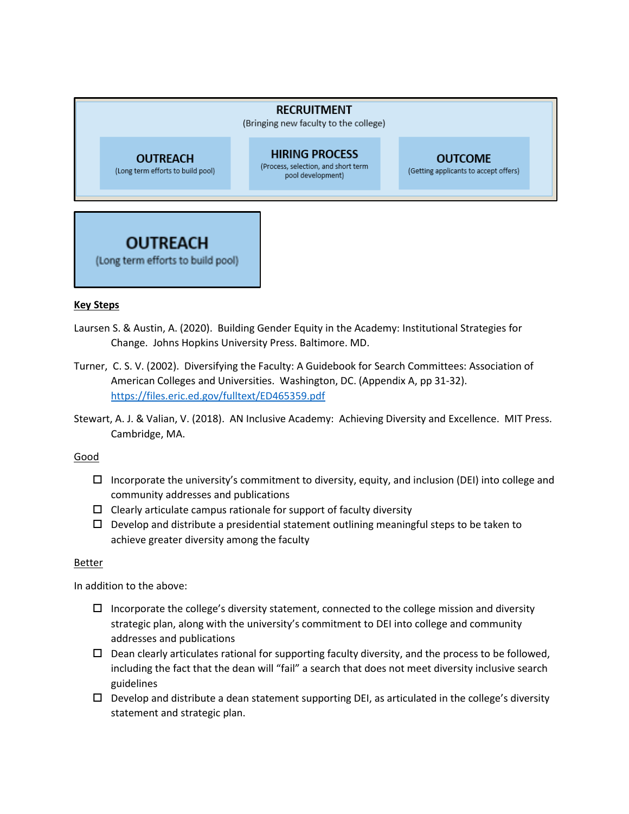#### **RECRUITMENT**

(Bringing new faculty to the college)

**OUTREACH** (Long term efforts to build pool)

**HIRING PROCESS** (Process, selection, and short term pool development)

#### **OUTCOME**

(Getting applicants to accept offers)



#### **Key Steps**

- Laursen S. & Austin, A. (2020). Building Gender Equity in the Academy: Institutional Strategies for Change. Johns Hopkins University Press. Baltimore. MD.
- Turner, C. S. V. (2002). Diversifying the Faculty: A Guidebook for Search Committees: Association of American Colleges and Universities. Washington, DC. (Appendix A, pp 31-32). <https://files.eric.ed.gov/fulltext/ED465359.pdf>
- Stewart, A. J. & Valian, V. (2018). AN Inclusive Academy: Achieving Diversity and Excellence. MIT Press. Cambridge, MA.

#### Good

- $\Box$  Incorporate the university's commitment to diversity, equity, and inclusion (DEI) into college and community addresses and publications
- $\Box$  Clearly articulate campus rationale for support of faculty diversity
- $\Box$  Develop and distribute a presidential statement outlining meaningful steps to be taken to achieve greater diversity among the faculty

#### Better

In addition to the above:

- $\Box$  Incorporate the college's diversity statement, connected to the college mission and diversity strategic plan, along with the university's commitment to DEI into college and community addresses and publications
- $\square$  Dean clearly articulates rational for supporting faculty diversity, and the process to be followed, including the fact that the dean will "fail" a search that does not meet diversity inclusive search guidelines
- $\Box$  Develop and distribute a dean statement supporting DEI, as articulated in the college's diversity statement and strategic plan.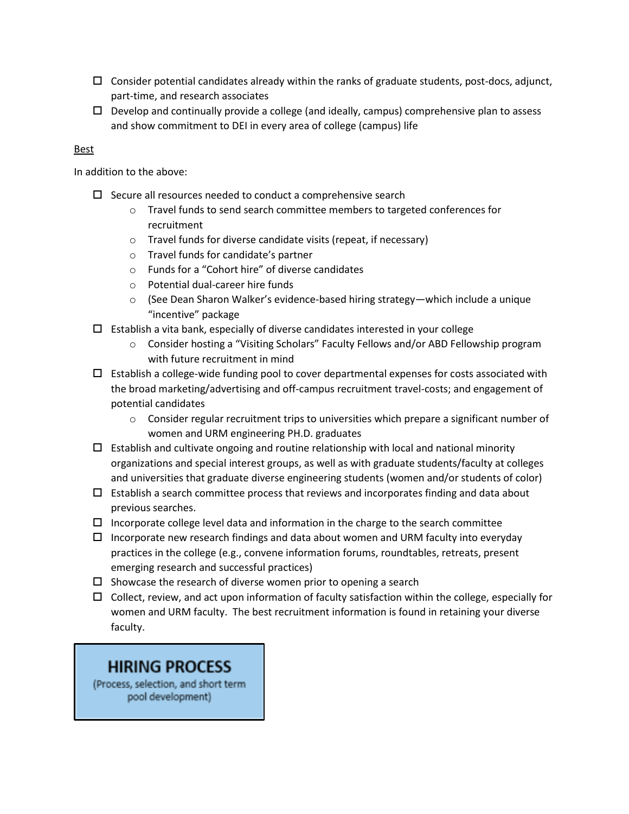- $\Box$  Consider potential candidates already within the ranks of graduate students, post-docs, adjunct, part-time, and research associates
- $\Box$  Develop and continually provide a college (and ideally, campus) comprehensive plan to assess and show commitment to DEI in every area of college (campus) life

#### Best

In addition to the above:

- $\square$  Secure all resources needed to conduct a comprehensive search
	- o Travel funds to send search committee members to targeted conferences for recruitment
	- o Travel funds for diverse candidate visits (repeat, if necessary)
	- o Travel funds for candidate's partner
	- o Funds for a "Cohort hire" of diverse candidates
	- o Potential dual-career hire funds
	- o (See Dean Sharon Walker's evidence-based hiring strategy—which include a unique "incentive" package
- $\Box$  Establish a vita bank, especially of diverse candidates interested in your college
	- o Consider hosting a "Visiting Scholars" Faculty Fellows and/or ABD Fellowship program with future recruitment in mind
- $\Box$  Establish a college-wide funding pool to cover departmental expenses for costs associated with the broad marketing/advertising and off-campus recruitment travel-costs; and engagement of potential candidates
	- $\circ$  Consider regular recruitment trips to universities which prepare a significant number of women and URM engineering PH.D. graduates
- $\Box$  Establish and cultivate ongoing and routine relationship with local and national minority organizations and special interest groups, as well as with graduate students/faculty at colleges and universities that graduate diverse engineering students (women and/or students of color)
- $\Box$  Establish a search committee process that reviews and incorporates finding and data about previous searches.
- $\Box$  Incorporate college level data and information in the charge to the search committee
- $\Box$  Incorporate new research findings and data about women and URM faculty into everyday practices in the college (e.g., convene information forums, roundtables, retreats, present emerging research and successful practices)
- $\square$  Showcase the research of diverse women prior to opening a search
- $\Box$  Collect, review, and act upon information of faculty satisfaction within the college, especially for women and URM faculty. The best recruitment information is found in retaining your diverse faculty.

## **HIRING PROCESS**

(Process, selection, and short term pool development)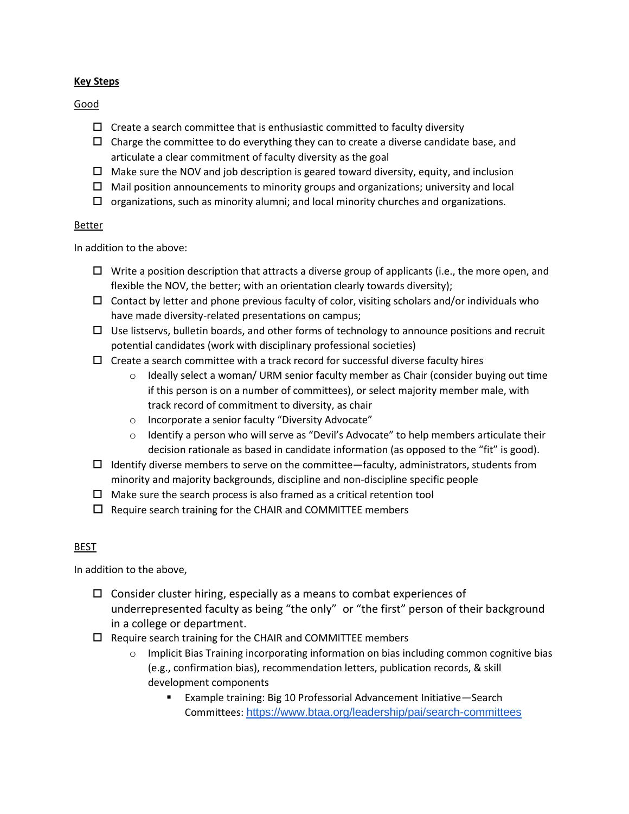#### **Key Steps**

Good

- $\Box$  Create a search committee that is enthusiastic committed to faculty diversity
- $\Box$  Charge the committee to do everything they can to create a diverse candidate base, and articulate a clear commitment of faculty diversity as the goal
- $\Box$  Make sure the NOV and job description is geared toward diversity, equity, and inclusion
- $\Box$  Mail position announcements to minority groups and organizations; university and local
- $\Box$  organizations, such as minority alumni; and local minority churches and organizations.

#### Better

In addition to the above:

- $\Box$  Write a position description that attracts a diverse group of applicants (i.e., the more open, and flexible the NOV, the better; with an orientation clearly towards diversity);
- $\Box$  Contact by letter and phone previous faculty of color, visiting scholars and/or individuals who have made diversity-related presentations on campus;
- $\Box$  Use listservs, bulletin boards, and other forms of technology to announce positions and recruit potential candidates (work with disciplinary professional societies)
- $\Box$  Create a search committee with a track record for successful diverse faculty hires
	- $\circ$  Ideally select a woman/ URM senior faculty member as Chair (consider buying out time if this person is on a number of committees), or select majority member male, with track record of commitment to diversity, as chair
	- o Incorporate a senior faculty "Diversity Advocate"
	- $\circ$  Identify a person who will serve as "Devil's Advocate" to help members articulate their decision rationale as based in candidate information (as opposed to the "fit" is good).
- $\Box$  Identify diverse members to serve on the committee—faculty, administrators, students from minority and majority backgrounds, discipline and non-discipline specific people
- $\Box$  Make sure the search process is also framed as a critical retention tool
- $\Box$  Require search training for the CHAIR and COMMITTEE members

#### **BEST**

In addition to the above,

- $\Box$  Consider cluster hiring, especially as a means to combat experiences of underrepresented faculty as being "the only" or "the first" person of their background in a college or department.
- $\Box$  Require search training for the CHAIR and COMMITTEE members
	- $\circ$  Implicit Bias Training incorporating information on bias including common cognitive bias (e.g., confirmation bias), recommendation letters, publication records, & skill development components
		- Example training: Big 10 Professorial Advancement Initiative—Search Committees: <https://www.btaa.org/leadership/pai/search-committees>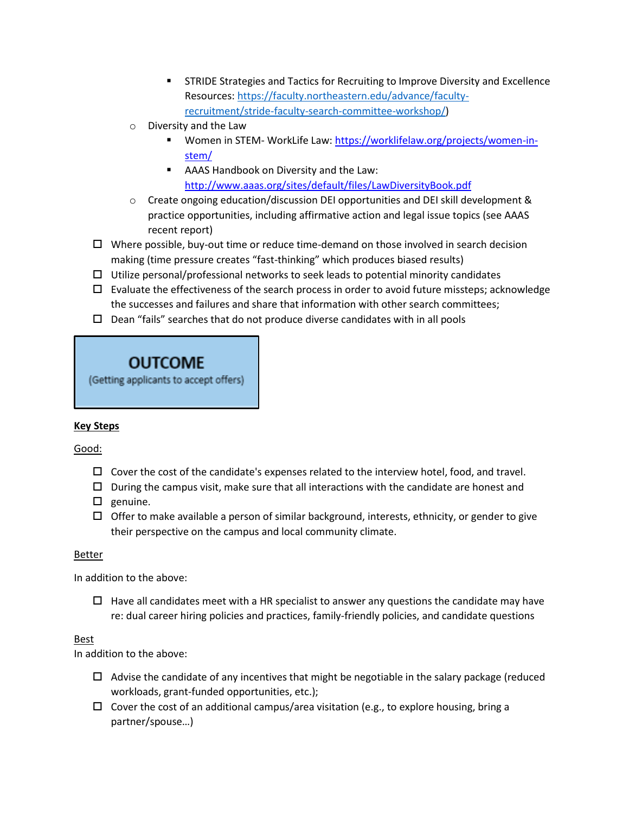- **EXECTEDE STRIDE Strategies and Tactics for Recruiting to Improve Diversity and Excellence** Resources: [https://faculty.northeastern.edu/advance/faculty](https://faculty.northeastern.edu/advance/faculty-recruitment/stride-faculty-search-committee-workshop/)[recruitment/stride-faculty-search-committee-workshop/\)](https://faculty.northeastern.edu/advance/faculty-recruitment/stride-faculty-search-committee-workshop/)
- o Diversity and the Law
	- Women in STEM- WorkLife Law: [https://worklifelaw.org/projects/women-in](https://worklifelaw.org/projects/women-in-stem/)[stem/](https://worklifelaw.org/projects/women-in-stem/)
	- AAAS Handbook on Diversity and the Law: <http://www.aaas.org/sites/default/files/LawDiversityBook.pdf>
- $\circ$  Create ongoing education/discussion DEI opportunities and DEI skill development & practice opportunities, including affirmative action and legal issue topics (see AAAS recent report)
- $\Box$  Where possible, buy-out time or reduce time-demand on those involved in search decision making (time pressure creates "fast-thinking" which produces biased results)
- $\Box$  Utilize personal/professional networks to seek leads to potential minority candidates
- $\Box$  Evaluate the effectiveness of the search process in order to avoid future missteps; acknowledge the successes and failures and share that information with other search committees;
- $\Box$  Dean "fails" searches that do not produce diverse candidates with in all pools

## OUTCOME

(Getting applicants to accept offers)

## **Key Steps**

Good:

- $\Box$  Cover the cost of the candidate's expenses related to the interview hotel, food, and travel.
- $\Box$  During the campus visit, make sure that all interactions with the candidate are honest and
- $\square$  genuine.
- $\Box$  Offer to make available a person of similar background, interests, ethnicity, or gender to give their perspective on the campus and local community climate.

#### Better

In addition to the above:

 $\Box$  Have all candidates meet with a HR specialist to answer any questions the candidate may have re: dual career hiring policies and practices, family-friendly policies, and candidate questions

#### Best

In addition to the above:

- $\Box$  Advise the candidate of any incentives that might be negotiable in the salary package (reduced workloads, grant-funded opportunities, etc.);
- $\Box$  Cover the cost of an additional campus/area visitation (e.g., to explore housing, bring a partner/spouse…)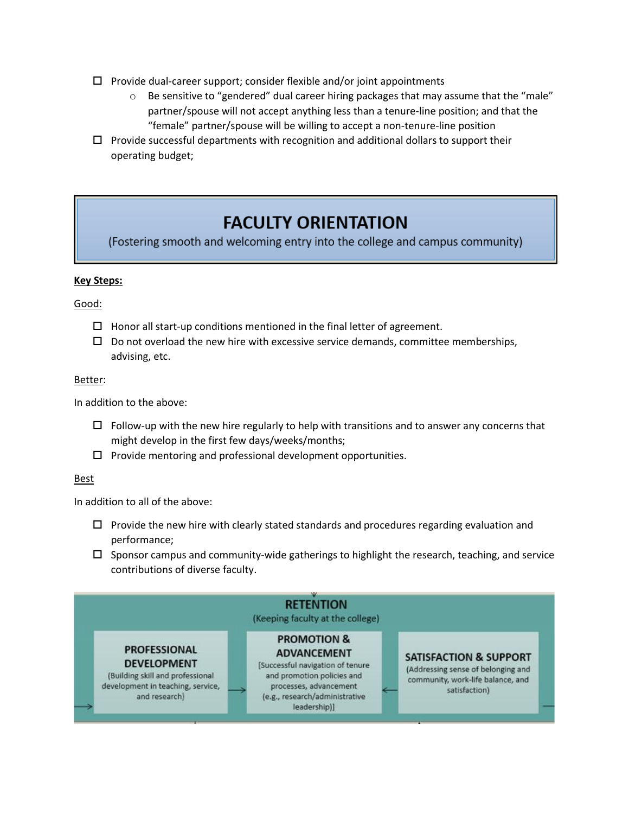- $\Box$  Provide dual-career support; consider flexible and/or joint appointments
	- $\circ$  Be sensitive to "gendered" dual career hiring packages that may assume that the "male" partner/spouse will not accept anything less than a tenure-line position; and that the "female" partner/spouse will be willing to accept a non-tenure-line position
- $\Box$  Provide successful departments with recognition and additional dollars to support their operating budget;

## **FACULTY ORIENTATION**

(Fostering smooth and welcoming entry into the college and campus community)

#### **Key Steps:**

Good:

- $\Box$  Honor all start-up conditions mentioned in the final letter of agreement.
- $\square$  Do not overload the new hire with excessive service demands, committee memberships, advising, etc.

#### Better:

In addition to the above:

- $\Box$  Follow-up with the new hire regularly to help with transitions and to answer any concerns that might develop in the first few days/weeks/months;
- $\Box$  Provide mentoring and professional development opportunities.

#### Best

- $\Box$  Provide the new hire with clearly stated standards and procedures regarding evaluation and performance;
- $\Box$  Sponsor campus and community-wide gatherings to highlight the research, teaching, and service contributions of diverse faculty.

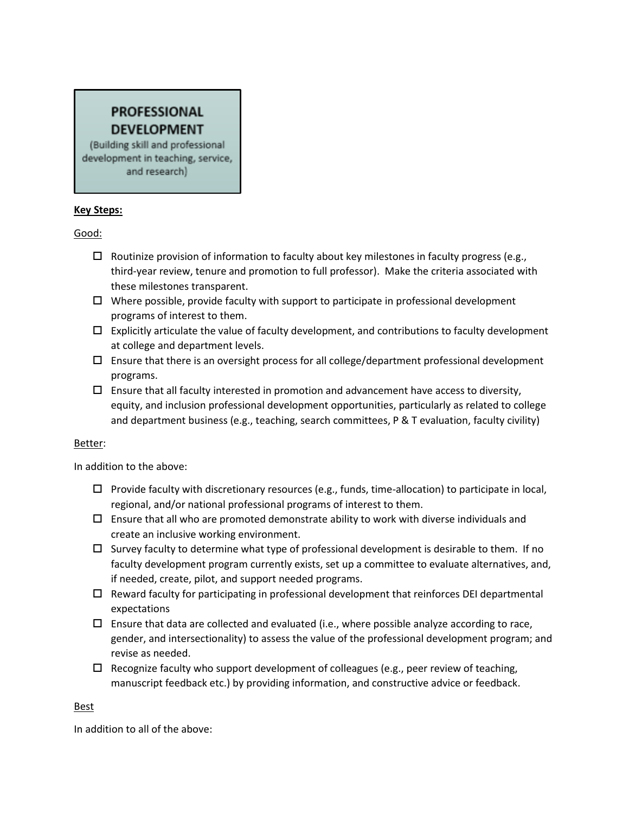## **PROFESSIONAL DEVELOPMENT** (Building skill and professional

development in teaching, service, and research)

#### **Key Steps:**

Good:

- $\Box$  Routinize provision of information to faculty about key milestones in faculty progress (e.g., third-year review, tenure and promotion to full professor). Make the criteria associated with these milestones transparent.
- $\Box$  Where possible, provide faculty with support to participate in professional development programs of interest to them.

 $\overline{\phantom{a}}$ 

- $\Box$  Explicitly articulate the value of faculty development, and contributions to faculty development at college and department levels.
- $\Box$  Ensure that there is an oversight process for all college/department professional development programs.
- $\Box$  Ensure that all faculty interested in promotion and advancement have access to diversity, equity, and inclusion professional development opportunities, particularly as related to college and department business (e.g., teaching, search committees, P & T evaluation, faculty civility)

#### Better:

In addition to the above:

- $\Box$  Provide faculty with discretionary resources (e.g., funds, time-allocation) to participate in local, regional, and/or national professional programs of interest to them.
- $\Box$  Ensure that all who are promoted demonstrate ability to work with diverse individuals and create an inclusive working environment.
- $\Box$  Survey faculty to determine what type of professional development is desirable to them. If no faculty development program currently exists, set up a committee to evaluate alternatives, and, if needed, create, pilot, and support needed programs.
- $\Box$  Reward faculty for participating in professional development that reinforces DEI departmental expectations
- $\Box$  Ensure that data are collected and evaluated (i.e., where possible analyze according to race, gender, and intersectionality) to assess the value of the professional development program; and revise as needed.
- $\Box$  Recognize faculty who support development of colleagues (e.g., peer review of teaching, manuscript feedback etc.) by providing information, and constructive advice or feedback.

#### **Best**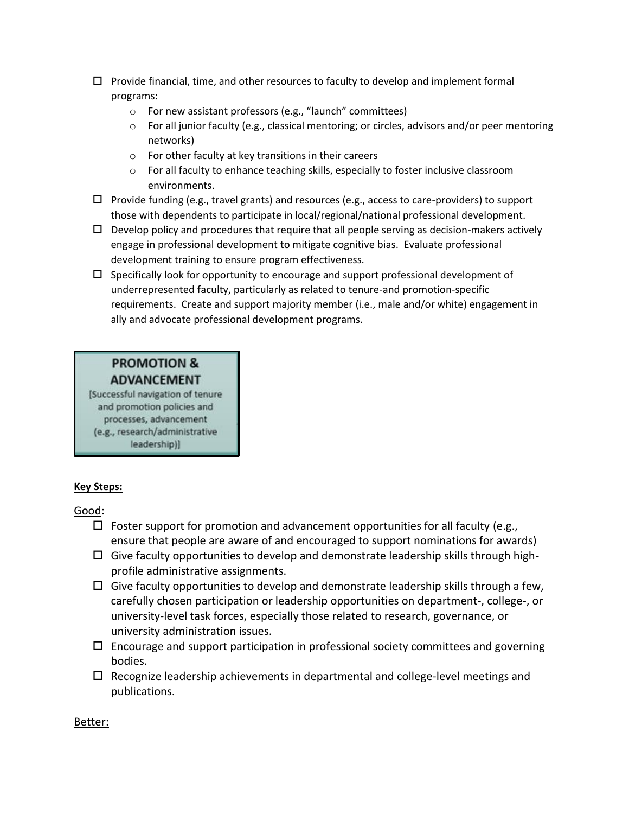- $\Box$  Provide financial, time, and other resources to faculty to develop and implement formal programs:
	- o For new assistant professors (e.g., "launch" committees)
	- o For all junior faculty (e.g., classical mentoring; or circles, advisors and/or peer mentoring networks)
	- o For other faculty at key transitions in their careers
	- $\circ$  For all faculty to enhance teaching skills, especially to foster inclusive classroom environments.
- $\Box$  Provide funding (e.g., travel grants) and resources (e.g., access to care-providers) to support those with dependents to participate in local/regional/national professional development.
- $\Box$  Develop policy and procedures that require that all people serving as decision-makers actively engage in professional development to mitigate cognitive bias. Evaluate professional development training to ensure program effectiveness.
- $\square$  Specifically look for opportunity to encourage and support professional development of underrepresented faculty, particularly as related to tenure-and promotion-specific requirements. Create and support majority member (i.e., male and/or white) engagement in ally and advocate professional development programs.

## **PROMOTION & ADVANCEMENT**

[Successful navigation of tenure and promotion policies and processes, advancement (e.g., research/administrative leadership)]

## **Key Steps:**

Good:

- $\Box$  Foster support for promotion and advancement opportunities for all faculty (e.g., ensure that people are aware of and encouraged to support nominations for awards)
- $\Box$  Give faculty opportunities to develop and demonstrate leadership skills through highprofile administrative assignments.
- $\Box$  Give faculty opportunities to develop and demonstrate leadership skills through a few, carefully chosen participation or leadership opportunities on department-, college-, or university-level task forces, especially those related to research, governance, or university administration issues.
- $\Box$  Encourage and support participation in professional society committees and governing bodies.
- $\Box$  Recognize leadership achievements in departmental and college-level meetings and publications.

Better: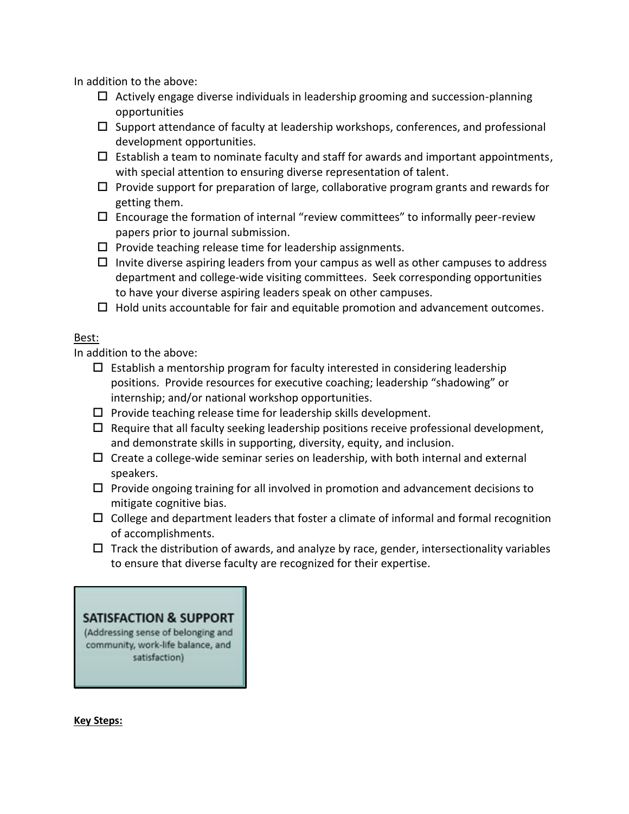In addition to the above:

- $\Box$  Actively engage diverse individuals in leadership grooming and succession-planning opportunities
- $\square$  Support attendance of faculty at leadership workshops, conferences, and professional development opportunities.
- $\Box$  Establish a team to nominate faculty and staff for awards and important appointments, with special attention to ensuring diverse representation of talent.
- $\Box$  Provide support for preparation of large, collaborative program grants and rewards for getting them.
- $\square$  Encourage the formation of internal "review committees" to informally peer-review papers prior to journal submission.
- $\square$  Provide teaching release time for leadership assignments.
- $\Box$  Invite diverse aspiring leaders from your campus as well as other campuses to address department and college-wide visiting committees. Seek corresponding opportunities to have your diverse aspiring leaders speak on other campuses.
- $\Box$  Hold units accountable for fair and equitable promotion and advancement outcomes.

## Best:

In addition to the above:

- $\Box$  Establish a mentorship program for faculty interested in considering leadership positions. Provide resources for executive coaching; leadership "shadowing" or internship; and/or national workshop opportunities.
- $\square$  Provide teaching release time for leadership skills development.
- $\Box$  Require that all faculty seeking leadership positions receive professional development, and demonstrate skills in supporting, diversity, equity, and inclusion.
- $\Box$  Create a college-wide seminar series on leadership, with both internal and external speakers.
- $\Box$  Provide ongoing training for all involved in promotion and advancement decisions to mitigate cognitive bias.
- $\Box$  College and department leaders that foster a climate of informal and formal recognition of accomplishments.
- $\Box$  Track the distribution of awards, and analyze by race, gender, intersectionality variables to ensure that diverse faculty are recognized for their expertise.

## **SATISFACTION & SUPPORT**

(Addressing sense of belonging and community, work-life balance, and satisfaction)

#### **Key Steps:**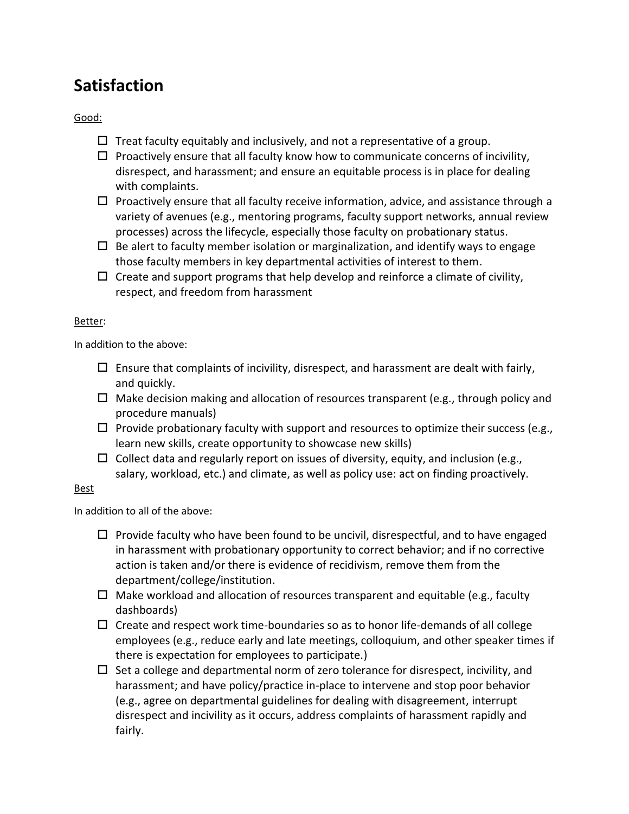## **Satisfaction**

Good:

- $\Box$  Treat faculty equitably and inclusively, and not a representative of a group.
- $\Box$  Proactively ensure that all faculty know how to communicate concerns of incivility, disrespect, and harassment; and ensure an equitable process is in place for dealing with complaints.
- $\Box$  Proactively ensure that all faculty receive information, advice, and assistance through a variety of avenues (e.g., mentoring programs, faculty support networks, annual review processes) across the lifecycle, especially those faculty on probationary status.
- $\Box$  Be alert to faculty member isolation or marginalization, and identify ways to engage those faculty members in key departmental activities of interest to them.
- $\Box$  Create and support programs that help develop and reinforce a climate of civility, respect, and freedom from harassment

#### Better:

In addition to the above:

- $\square$  Ensure that complaints of incivility, disrespect, and harassment are dealt with fairly, and quickly.
- $\Box$  Make decision making and allocation of resources transparent (e.g., through policy and procedure manuals)
- $\Box$  Provide probationary faculty with support and resources to optimize their success (e.g., learn new skills, create opportunity to showcase new skills)
- $\Box$  Collect data and regularly report on issues of diversity, equity, and inclusion (e.g., salary, workload, etc.) and climate, as well as policy use: act on finding proactively.

#### Best

- $\Box$  Provide faculty who have been found to be uncivil, disrespectful, and to have engaged in harassment with probationary opportunity to correct behavior; and if no corrective action is taken and/or there is evidence of recidivism, remove them from the department/college/institution.
- $\Box$  Make workload and allocation of resources transparent and equitable (e.g., faculty dashboards)
- $\Box$  Create and respect work time-boundaries so as to honor life-demands of all college employees (e.g., reduce early and late meetings, colloquium, and other speaker times if there is expectation for employees to participate.)
- $\Box$  Set a college and departmental norm of zero tolerance for disrespect, incivility, and harassment; and have policy/practice in-place to intervene and stop poor behavior (e.g., agree on departmental guidelines for dealing with disagreement, interrupt disrespect and incivility as it occurs, address complaints of harassment rapidly and fairly.